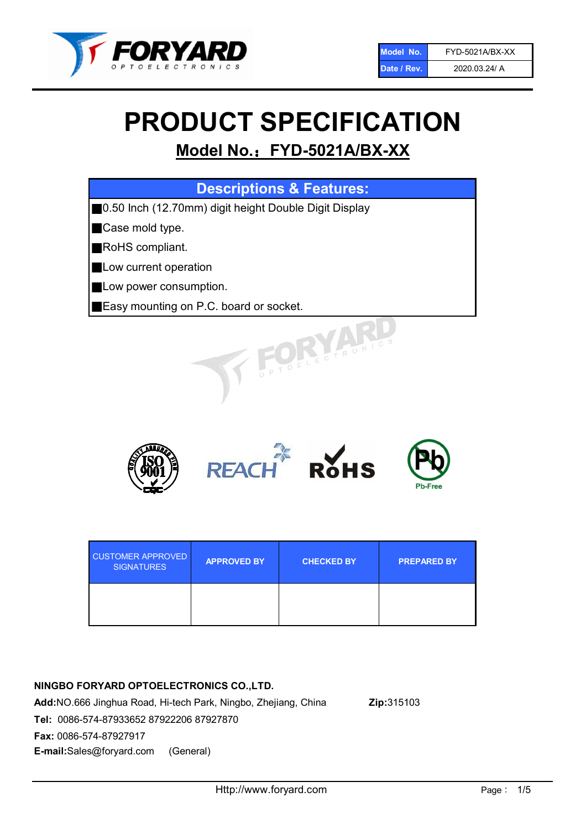

# PRODUCT SPECIFICATION

# Model No.: FYD-5021A/BX-XX

| <b>Descriptions &amp; Features:</b>                    |
|--------------------------------------------------------|
| ■0.50 Inch (12.70mm) digit height Double Digit Display |
| Case mold type.                                        |
| RoHS compliant.                                        |
| Low current operation                                  |
| Low power consumption.                                 |
| <b>Easy mounting on P.C. board or socket.</b>          |
| VELECTRONICS                                           |



| <b>CUSTOMER APPROVED</b><br><b>SIGNATURES</b> | <b>APPROVED BY</b> | <b>CHECKED BY</b> | <b>PREPARED BY</b> |
|-----------------------------------------------|--------------------|-------------------|--------------------|
|                                               |                    |                   |                    |

### NINGBO FORYARD OPTOELECTRONICS CO.,LTD.

Add:NO.666 Jinghua Road, Hi-tech Park, Ningbo, Zhejiang, China Zip:315103 Tel: 0086-574-87933652 87922206 87927870 Fax: 0086-574-87927917 E-mail:Sales@foryard.com (General)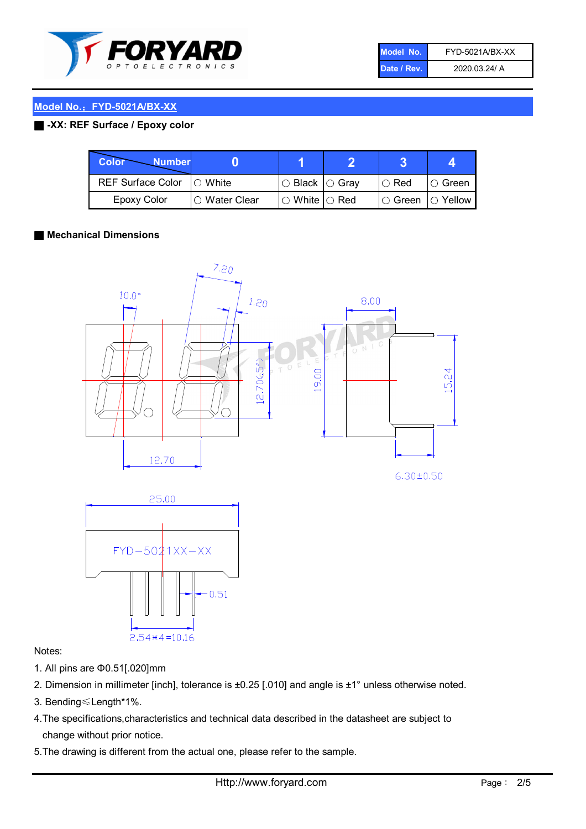

| Model No.   | FYD-5021A/BX-XX |
|-------------|-----------------|
| Date / Rev. | 2020.03.24/ A   |

#### Model No.: FYD-5021A/BX-XX

#### ■ -XX: REF Surface / Epoxy color

| Color<br><b>Number</b>     |                        |                            |          |                |
|----------------------------|------------------------|----------------------------|----------|----------------|
| REF Surface Color  ○ White |                        | $\circ$ Black $\circ$ Gray | I⊖ Red   | IO Green i     |
| Epoxy Color                | $\bigcirc$ Water Clear | $\circ$ White $\circ$ Red  | I⊖ Green | $\circ$ Yellow |

#### ■ Mechanical Dimensions





#### Notes:

- 1. All pins are Φ0.51[.020]mm
- 2. Dimension in millimeter [inch], tolerance is ±0.25 [.010] and angle is ±1° unless otherwise noted.
- 3. Bending≤Length\*1%.
- 4.The specifications,characteristics and technical data described in the datasheet are subject to change without prior notice.
- 5.The drawing is different from the actual one, please refer to the sample.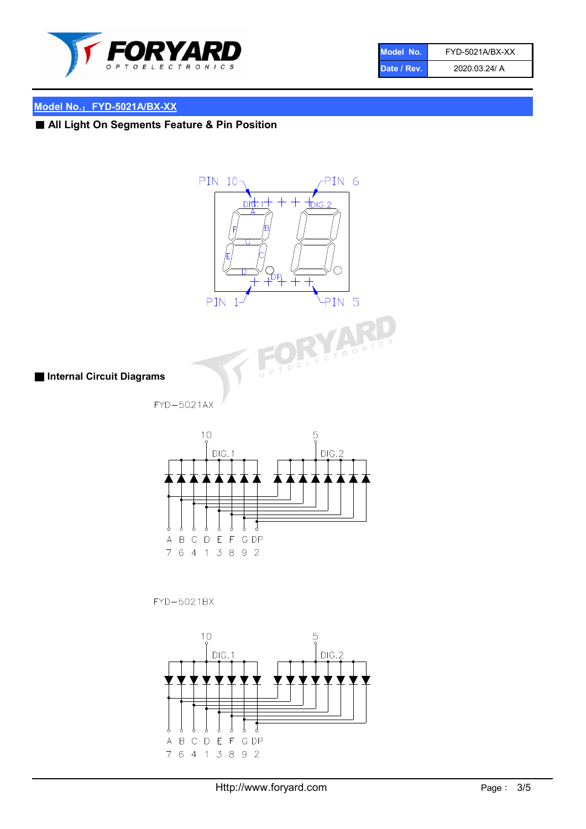

| Model No.   | FYD-5021A/BX-XX |
|-------------|-----------------|
| Date / Rev. | 2020.03.24/ A   |

## Model No.: FYD-5021A/BX-XX

■ All Light On Segments Feature & Pin Position



FYD-5021BX

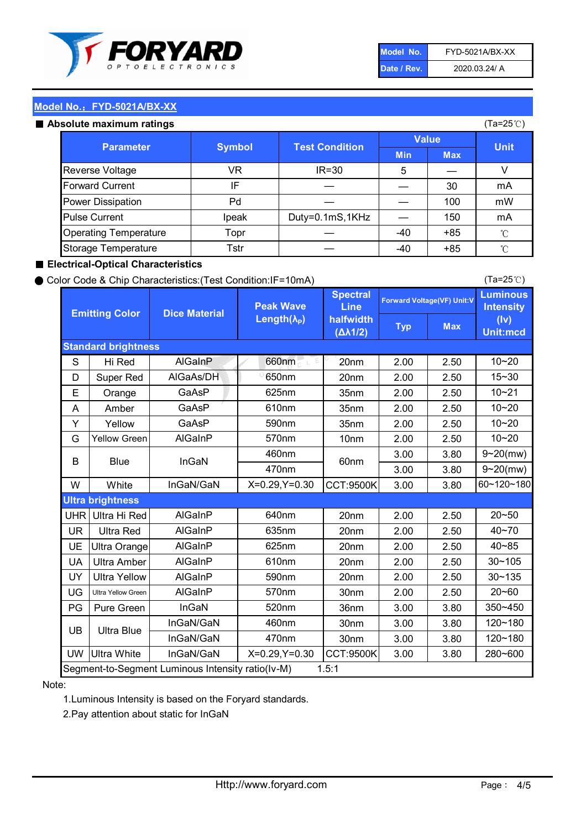

| Model No.   | FYD-5021A/BX-XX |
|-------------|-----------------|
| Date / Rev. | 2020.03.24/ A   |

(Ta=25℃)

#### Model No.: FYD-5021A/BX-XX

#### Absolute maximum

| solute maximum ratings       |               |                       |              |            | (Ta=25℃)    |
|------------------------------|---------------|-----------------------|--------------|------------|-------------|
| <b>Parameter</b>             | <b>Symbol</b> | <b>Test Condition</b> | <b>Value</b> |            |             |
|                              |               |                       | <b>Min</b>   | <b>Max</b> | <b>Unit</b> |
| Reverse Voltage              | VR            | $IR = 30$             | 5            |            |             |
| <b>Forward Current</b>       | IF            |                       |              | 30         | mA          |
| Power Dissipation            | Pd            |                       |              | 100        | mW          |
| <b>Pulse Current</b>         | Ipeak         | Duty=0.1mS,1KHz       |              | 150        | mA          |
| <b>Operating Temperature</b> | Topr          |                       | $-40$        | $+85$      | °C          |
| Storage Temperature          | Tstr          |                       | -40          | $+85$      | °C          |

#### ■ Electrical-Optical Characteristics

#### ● Color Code & Chip Characteristics:(Test Condition:IF=10mA)

Typ Max S | Hi $\textsf{Red}$  | AlGaInP | 660nm LE 20nm | 2.00 | 2.50 D | Super Red | AIGaAs/DH | 650nm | 20nm | 2.00 | 2.50 E | Orange | GaAsP | 625nm | 35nm | 2.00 | 2.50 A | Amber | GaAsP | 610nm | 35nm | 2.00 | 2.50 Y | Yellow | GaAsP | 590nm | 35nm | 2.00 | 2.50 G Yellow Green AIGaInP | 570nm | 10nm | 2.00 | 2.50 3.00 3.80 3.00 3.80 W | White | InGaN/GaN | X=0.29,Y=0.30 |CCT:9500K| 3.00 | 3.80 UHR Ultra Hi Red | AlGaInP | 640nm | 20nm | 2.00 | 2.50 UR | Ultra Red | AlGaInP | 635nm | 20nm | 2.00 | 2.50 UE Ultra Orange | AIGaInP | 625nm | 20nm | 2.00 | 2.50 UA Ultra Amber | AIGaInP | 610nm | 20nm | 2.00 | 2.50  $UV$  Ultra Yellow  $\vert$  AlGaInP  $\vert$  590nm  $\vert$  20nm  $\vert$  2.00  $\vert$  2.50  $\text{UG}$  Ultra Yellow Green | AIGaInP | 570nm | 30nm | 2.00 | 2.50 PG Pure Green | InGaN | 520nm | 36nm | 3.00 | 3.80 30nm 3.00 3.80 30nm 3.00 3.80 UW |Ultra White | InGaN/GaN | X=0.29,Y=0.30 |CCT:9500K| 3.00 | 3.80 40~85 60~120~180 40~70 Segment-to-Segment Luminous Intensity ratio(Iv-M) 1.5:1 610nm 9~20(mw) 350~450 470nm 120~180 120~180 Ultra Blue InGaN/GaN InGaN/GaN 9~20(mw) 20~50 280~600 570nm | 30nm | 2.00 | 2.50 | 20~60 470nm 590nm InGaN/GaN B Blue I InGaN 570nm | 10nm | 2.00 | 2.50 | 10~20 30~105 30~135 460nm 520nm Ultra brightness **AlGaInP** AlGaInP 60nm AlGaInP 640nm Peak Wave Length $(\lambda_{\rm P})$ UB 460nm 635nm AlGaInP AlGaInP AlGaInP InGaN/GaN AlGaInP 10~20 Luminous **Intensity** (Iv) Unit:mcd AlGainP 660nm GaAsP GaAsP AlGaAs/DH **Spectral** Line halfwidth (∆λ1/2) 10~20 Standard brightness Forward Voltage(VF) Unit:V 15~30 10~20 625nm GaAsP 590nm **Emitting Color Dice Material** 10~21 610nm

#### Note:

1.Luminous Intensity is based on the Foryard standards.

2.Pay attention about static for InGaN